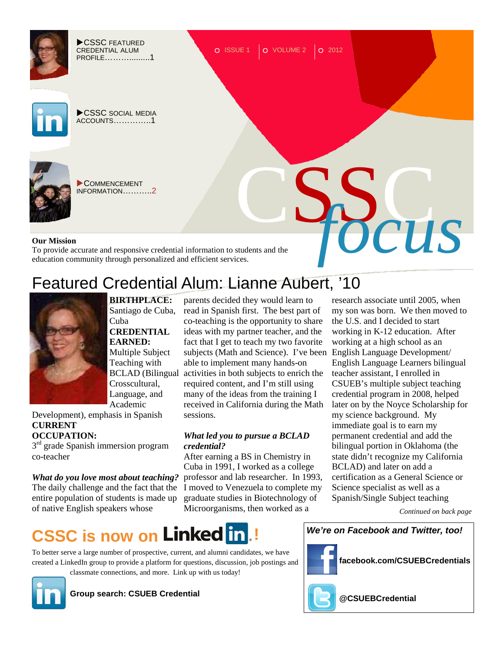

# Featured Credential Alum: Lianne Aubert, '10



**BIRTHPLACE:**  Santiago de Cuba, Cuba **CREDENTIAL EARNED:**  Multiple Subject Teaching with Crosscultural, Language, and Academic

Development), emphasis in Spanish **CURRENT OCCUPATION:** 

3<sup>rd</sup> grade Spanish immersion program co-teacher

*What do you love most about teaching?* The daily challenge and the fact that the I moved to Venezuela to complete my entire population of students is made up of native English speakers whose

BCLAD (Bilingual activities in both subjects to enrich the subjects (Math and Science). I've been English Language Development/ parents decided they would learn to read in Spanish first. The best part of co-teaching is the opportunity to share ideas with my partner teacher, and the fact that I get to teach my two favorite able to implement many hands-on required content, and I'm still using many of the ideas from the training I received in California during the Math sessions.

### *What led you to pursue a BCLAD credential?*

After earning a BS in Chemistry in Cuba in 1991, I worked as a college professor and lab researcher. In 1993, graduate studies in Biotechnology of Microorganisms, then worked as a

research associate until 2005, when my son was born. We then moved to the U.S. and I decided to start working in K-12 education. After working at a high school as an English Language Learners bilingual teacher assistant, I enrolled in CSUEB's multiple subject teaching credential program in 2008, helped later on by the Noyce Scholarship for my science background. My immediate goal is to earn my permanent credential and add the bilingual portion in Oklahoma (the state didn't recognize my California BCLAD) and later on add a certification as a General Science or Science specialist as well as a Spanish/Single Subject teaching

*Continued on back page* 

### **CSSC is now on Linked in !**

To better serve a large number of prospective, current, and alumni candidates, we have created a LinkedIn group to provide a platform for questions, discussion, job postings and classmate connections, and more. Link up with us today!



**Group search: CSUEB Credential**





**facebook.com/CSUEBCredentials** 



**@CSUEBCredential**